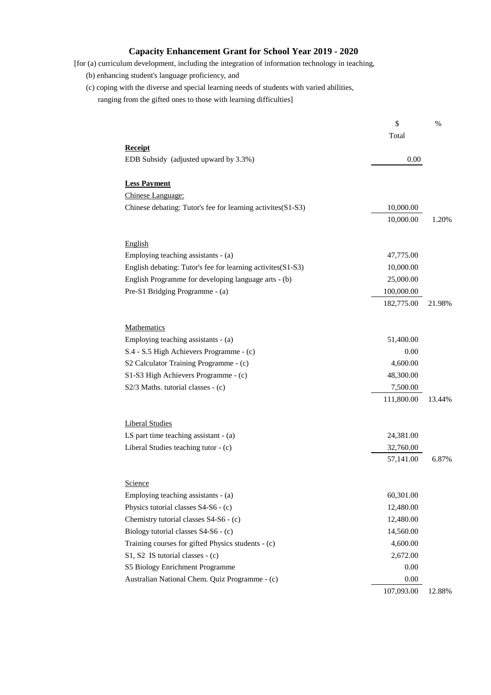## **Capacity Enhancement Grant for School Year 2019 - 2020**

- [for (a) curriculum development, including the integration of information technology in teaching,
	- (b) enhancing student's language proficiency, and
	- (c) coping with the diverse and special learning needs of students with varied abilities, ranging from the gifted ones to those with learning difficulties]

|                                                             | \$         | $\%$   |
|-------------------------------------------------------------|------------|--------|
|                                                             | Total      |        |
| <b>Receipt</b>                                              |            |        |
| EDB Subsidy (adjusted upward by 3.3%)                       | 0.00       |        |
| <b>Less Payment</b>                                         |            |        |
| Chinese Language:                                           |            |        |
| Chinese debating: Tutor's fee for learning activites(S1-S3) | 10,000.00  |        |
|                                                             | 10,000.00  | 1.20%  |
| <b>English</b>                                              |            |        |
| Employing teaching assistants - (a)                         | 47,775.00  |        |
| English debating: Tutor's fee for learning activites(S1-S3) | 10,000.00  |        |
| English Programme for developing language arts - (b)        | 25,000.00  |        |
| Pre-S1 Bridging Programme - (a)                             | 100,000.00 |        |
|                                                             | 182,775.00 | 21.98% |
| Mathematics                                                 |            |        |
| Employing teaching assistants - (a)                         | 51,400.00  |        |
| S.4 - S.5 High Achievers Programme - (c)                    | 0.00       |        |
| S2 Calculator Training Programme - (c)                      | 4,600.00   |        |
| S1-S3 High Achievers Programme - (c)                        | 48,300.00  |        |
| $S2/3$ Maths. tutorial classes - (c)                        | 7,500.00   |        |
|                                                             | 111,800.00 | 13.44% |
| <b>Liberal Studies</b>                                      |            |        |
| LS part time teaching assistant - (a)                       | 24,381.00  |        |
| Liberal Studies teaching tutor - (c)                        | 32,760.00  |        |
|                                                             | 57,141.00  | 6.87%  |
| Science                                                     |            |        |
| Employing teaching assistants - (a)                         | 60,301.00  |        |
| Physics tutorial classes S4-S6 - (c)                        | 12,480.00  |        |
| Chemistry tutorial classes S4-S6 - (c)                      | 12,480.00  |        |
| Biology tutorial classes S4-S6 - (c)                        | 14,560.00  |        |
| Training courses for gifted Physics students - (c)          | 4,600.00   |        |
| S1, S2 IS tutorial classes - (c)                            | 2,672.00   |        |
| S5 Biology Enrichment Programme                             | 0.00       |        |
| Australian National Chem. Quiz Programme - (c)              | 0.00       |        |
|                                                             | 107,093.00 | 12.88% |